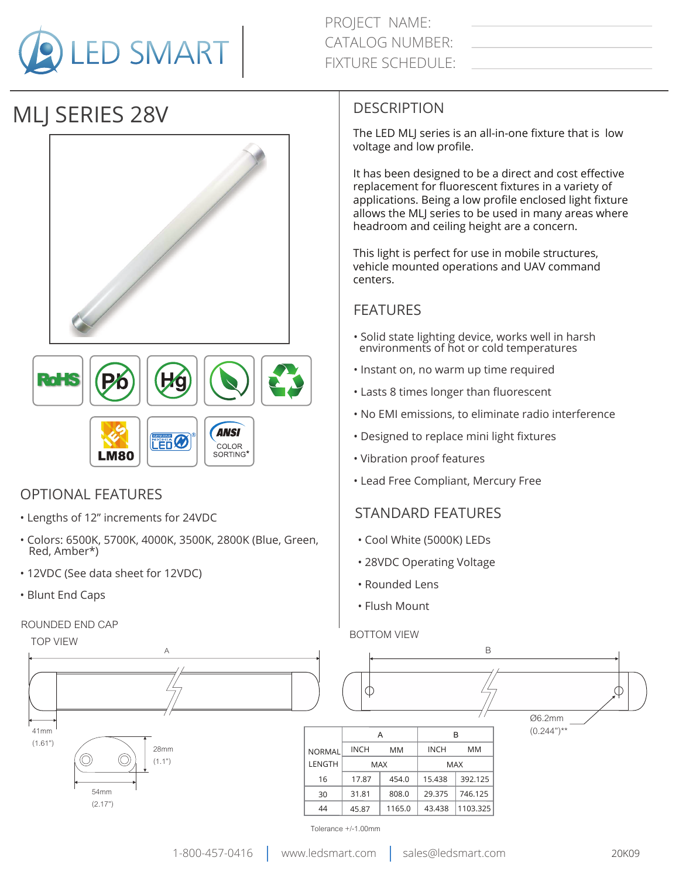

# MLJ SERIES 28V





### OPTIONAL FEATURES

- Lengths of 12" increments for 24VDC
- Colors: 6500K, 5700K, 4000K, 3500K, 2800K (Blue, Green, Red, Amber\*)
- 12VDC (See data sheet for 12VDC)
- Blunt End Caps

#### ROUNDED END CAP

#### **DESCRIPTION**

The LED MLJ series is an all-in-one fixture that is low voltage and low profile.

It has been designed to be a direct and cost effective replacement for fluorescent fixtures in a variety of applications. Being a low profile enclosed light fixture allows the MLJ series to be used in many areas where headroom and ceiling height are a concern.

This light is perfect for use in mobile structures, vehicle mounted operations and UAV command centers.

#### FEATURES

- Solid state lighting device, works well in harsh environments of hot or cold temperatures
- Instant on, no warm up time required
- Lasts 8 times longer than fluorescent
- No EMI emissions, to eliminate radio interference
- Designed to replace mini light fixtures
- Vibration proof features
- Lead Free Compliant, Mercury Free

#### STANDARD FEATURES

- Cool White (5000K) LEDs
- 28VDC Operating Voltage
- Rounded Lens
- Flush Mount